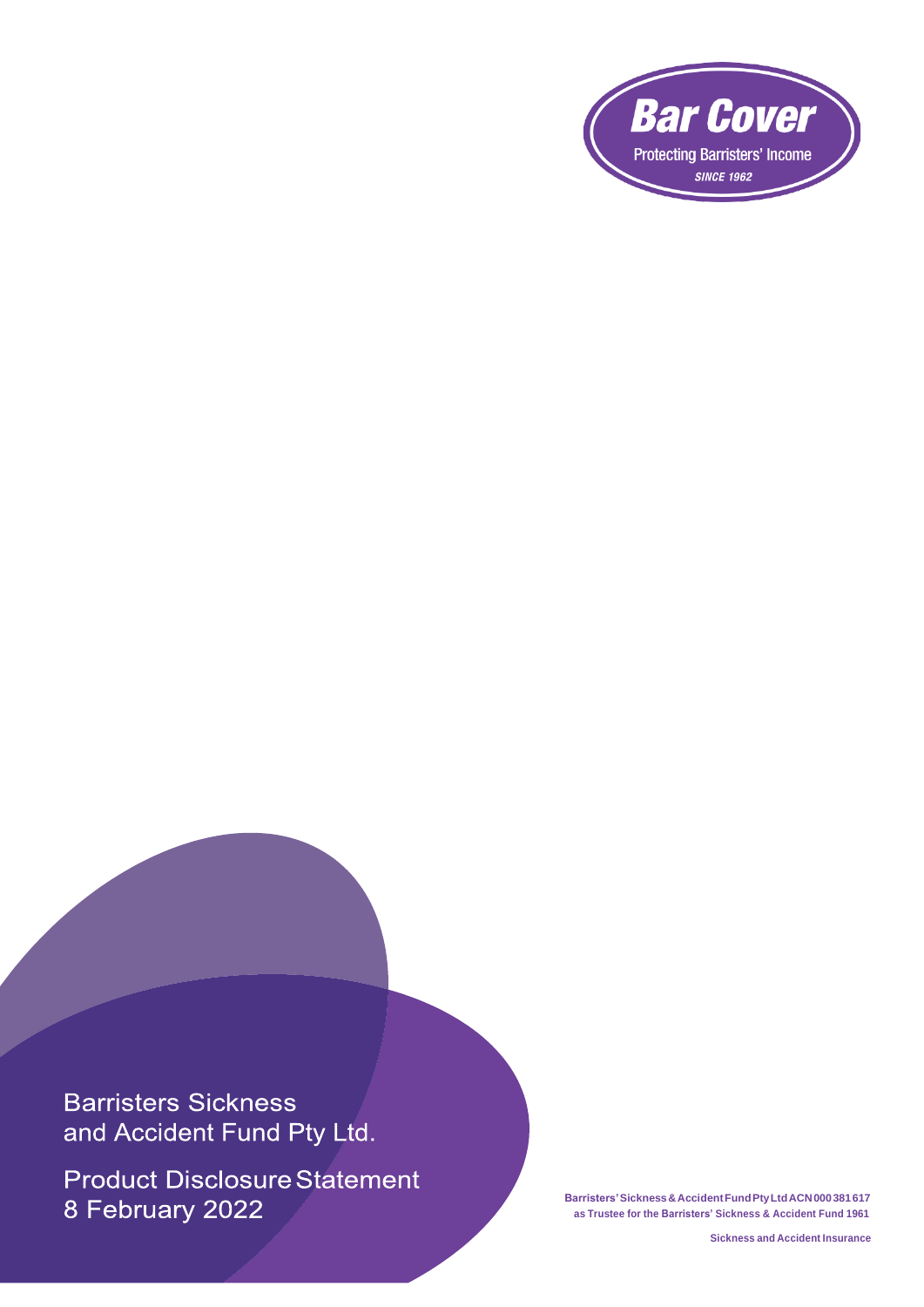

**Barristers Sickness** and Accident Fund Pty Ltd.

**Product Disclosure Statement** 8 February 2022

**Barristers'Sickness&AccidentFundPtyLtdACN000381617 as Trustee for the Barristers' Sickness & Accident Fund 1961**

**Sickness and Accident Insurance**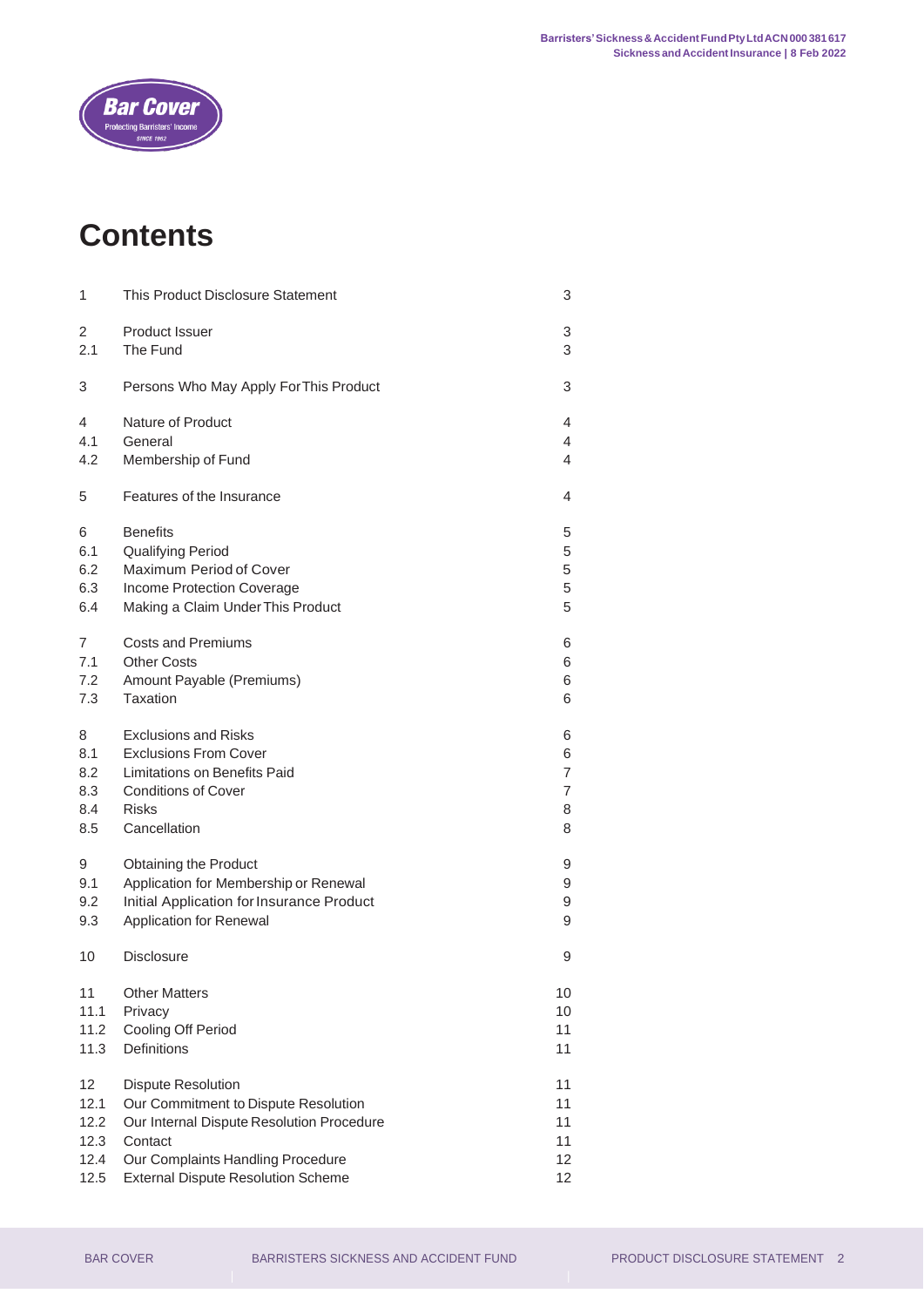

# **Contents**

| 1              | This Product Disclosure Statement         | 3  |
|----------------|-------------------------------------------|----|
| $\overline{2}$ | Product Issuer                            | 3  |
| 2.1            | The Fund                                  | 3  |
| 3              | Persons Who May Apply For This Product    | 3  |
| 4              | <b>Nature of Product</b>                  | 4  |
| 4.1            | General                                   | 4  |
| 4.2            | Membership of Fund                        | 4  |
| 5              | Features of the Insurance                 | 4  |
| 6              | <b>Benefits</b>                           | 5  |
| 6.1            | <b>Qualifying Period</b>                  | 5  |
| 6.2            | Maximum Period of Cover                   | 5  |
| 6.3            | Income Protection Coverage                | 5  |
| 6.4            | Making a Claim Under This Product         | 5  |
| 7              | <b>Costs and Premiums</b>                 | 6  |
| 7.1            | <b>Other Costs</b>                        | 6  |
| 7.2            | Amount Payable (Premiums)                 | 6  |
| 7.3            | Taxation                                  | 6  |
| 8              | <b>Exclusions and Risks</b>               | 6  |
| 8.1            | <b>Exclusions From Cover</b>              | 6  |
| 8.2            | Limitations on Benefits Paid              | 7  |
| 8.3            | <b>Conditions of Cover</b>                | 7  |
| 8.4            | <b>Risks</b>                              | 8  |
| 8.5            | Cancellation                              | 8  |
| 9              | Obtaining the Product                     | 9  |
| 9.1            | Application for Membership or Renewal     | 9  |
| 9.2            | Initial Application for Insurance Product | 9  |
| 9.3            | Application for Renewal                   | 9  |
| 10             | <b>Disclosure</b>                         | 9  |
| 11             | <b>Other Matters</b>                      | 10 |
| 11.1           | Privacy                                   | 10 |
| 11.2           | Cooling Off Period                        | 11 |
| 11.3           | Definitions                               | 11 |
| 12             | <b>Dispute Resolution</b>                 | 11 |
| 12.1           | Our Commitment to Dispute Resolution      | 11 |
| 12.2           | Our Internal Dispute Resolution Procedure | 11 |
| 12.3           | Contact                                   | 11 |
| 12.4           | Our Complaints Handling Procedure         | 12 |
| 12.5           | <b>External Dispute Resolution Scheme</b> | 12 |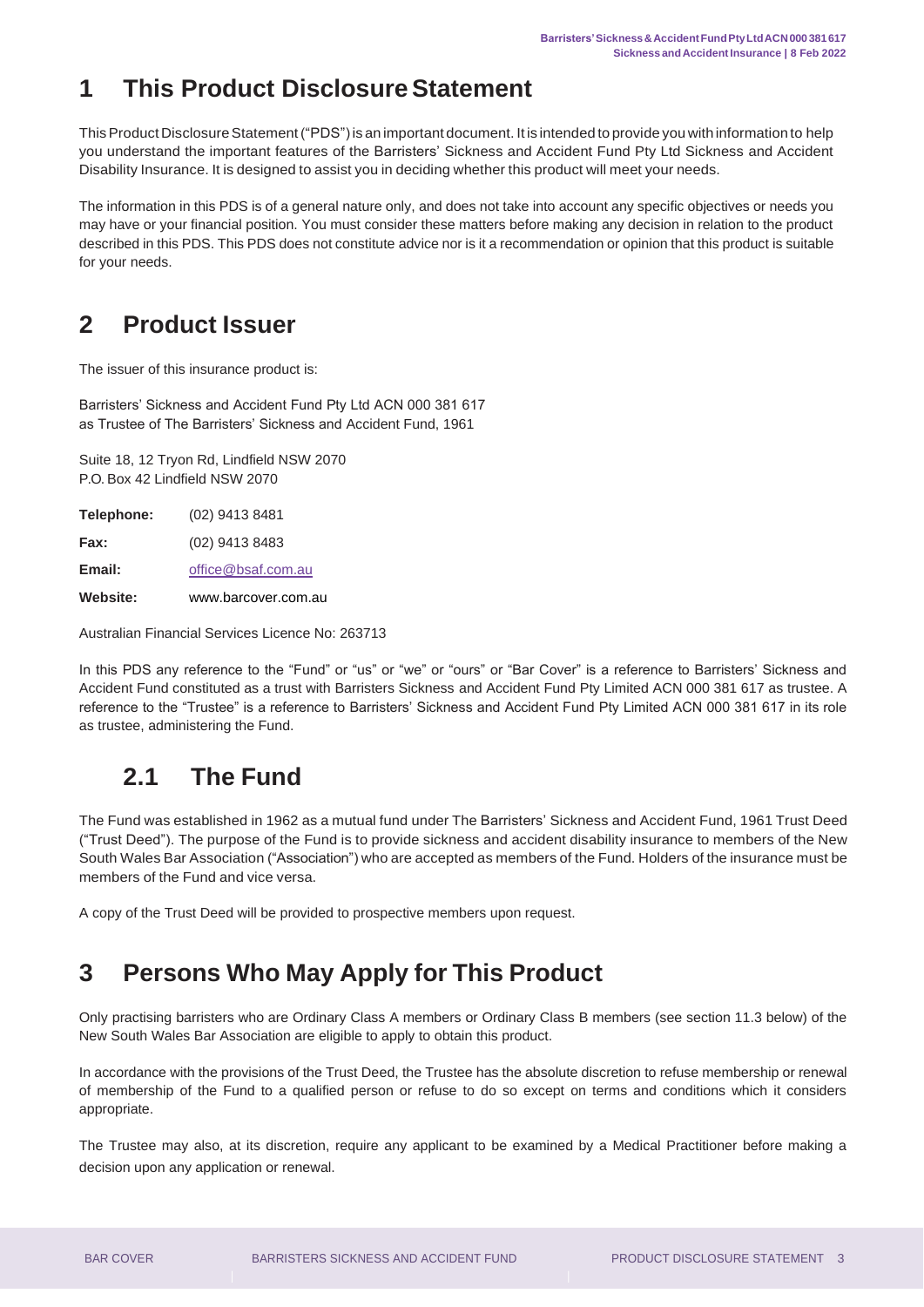## <span id="page-2-0"></span>**1 This Product Disclosure Statement**

This Product Disclosure Statement ("PDS") is an important document. It is intended to provide you with information to help you understand the important features of the Barristers' Sickness and Accident Fund Pty Ltd Sickness and Accident Disability Insurance. It is designed to assist you in deciding whether this product will meet your needs.

The information in this PDS is of a general nature only, and does not take into account any specific objectives or needs you may have or your financial position. You must consider these matters before making any decision in relation to the product described in this PDS. This PDS does not constitute advice nor is it a recommendation or opinion that this product is suitable for your needs.

## <span id="page-2-1"></span>**2 Product Issuer**

The issuer of this insurance product is:

Barristers' Sickness and Accident Fund Pty Ltd ACN 000 381 617 as Trustee of The Barristers' Sickness and Accident Fund, 1961

Suite 18, 12 Tryon Rd, Lindfield NSW 2070 P.O. Box 42 Lindfield NSW 2070

| <b>Website:</b>   | www.barcover.com.au |
|-------------------|---------------------|
| Email:            | office@bsaf.com.au  |
| Fax:              | (02) 9413 8483      |
| <b>Telephone:</b> | (02) 9413 8481      |

Australian Financial Services Licence No: 263713

In this PDS any reference to the "Fund" or "us" or "we" or "ours" or "Bar Cover" is a reference to Barristers' Sickness and Accident Fund constituted as a trust with Barristers Sickness and Accident Fund Pty Limited ACN 000 381 617 as trustee. A reference to the "Trustee" is a reference to Barristers' Sickness and Accident Fund Pty Limited ACN 000 381 617 in its role as trustee, administering the Fund.

## **2.1 The Fund**

<span id="page-2-2"></span>The Fund was established in 1962 as a mutual fund under The Barristers' Sickness and Accident Fund, 1961 Trust Deed ("Trust Deed"). The purpose of the Fund is to provide sickness and accident disability insurance to members of the New South Wales Bar Association ("Association") who are accepted as members of the Fund. Holders of the insurance must be members of the Fund and vice versa.

A copy of the Trust Deed will be provided to prospective members upon request.

## <span id="page-2-3"></span>**3 Persons Who May Apply for This Product**

Only practising barristers who are Ordinary Class A members or Ordinary Class B members (see section 11.3 below) of the New South Wales Bar Association are eligible to apply to obtain this product.

In accordance with the provisions of the Trust Deed, the Trustee has the absolute discretion to refuse membership or renewal of membership of the Fund to a qualified person or refuse to do so except on terms and conditions which it considers appropriate.

The Trustee may also, at its discretion, require any applicant to be examined by a Medical Practitioner before making a decision upon any application or renewal.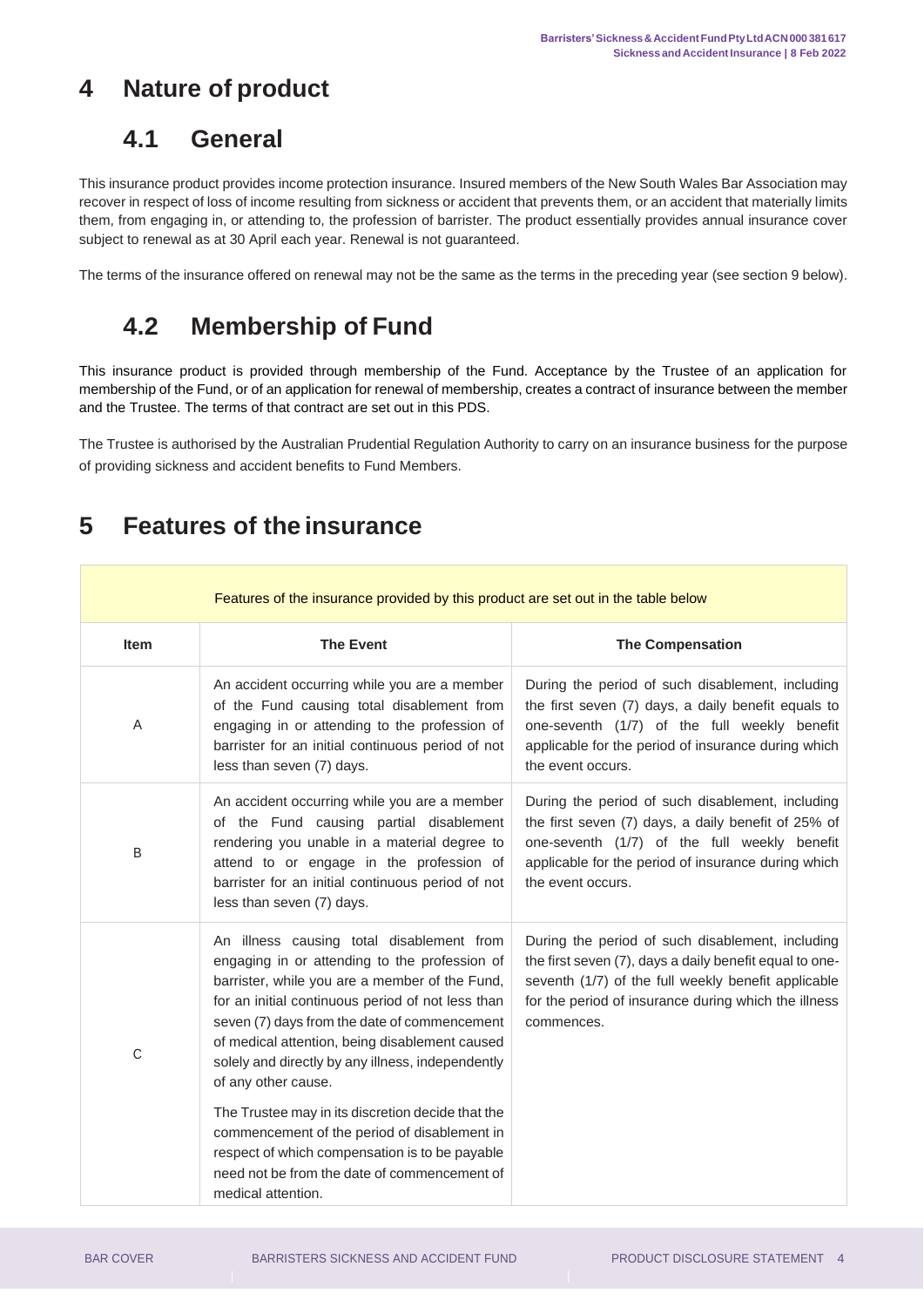## <span id="page-3-1"></span><span id="page-3-0"></span>**4 Nature of product**

#### **4.1 General**

This insurance product provides income protection insurance. Insured members of the New South Wales Bar Association may recover in respect of loss of income resulting from sickness or accident that prevents them, or an accident that materially limits them, from engaging in, or attending to, the profession of barrister. The product essentially provides annual insurance cover subject to renewal as at 30 April each year. Renewal is not guaranteed.

<span id="page-3-2"></span>The terms of the insurance offered on renewal may not be the same as the terms in the preceding year (see section 9 below).

# **4.2 Membership of Fund**

This insurance product is provided through membership of the Fund. Acceptance by the Trustee of an application for membership of the Fund, or of an application for renewal of membership, creates a contract of insurance between the member and the Trustee. The terms of that contract are set out in this PDS.

The Trustee is authorised by the Australian Prudential Regulation Authority to carry on an insurance business for the purpose of providing sickness and accident benefits to Fund Members.

#### Features of the insurance provided by this product are set out in the table below **Item The Event The Compensation** A An accident occurring while you are a member of the Fund causing total disablement from engaging in or attending to the profession of barrister for an initial continuous period of not less than seven (7) days. During the period of such disablement, including the first seven (7) days, a daily benefit equals to one-seventh (1/7) of the full weekly benefit applicable for the period of insurance during which the event occurs. B An accident occurring while you are a member of the Fund causing partial disablement rendering you unable in a material degree to attend to or engage in the profession of barrister for an initial continuous period of not less than seven (7) days. During the period of such disablement, including the first seven (7) days, a daily benefit of 25% of one-seventh (1/7) of the full weekly benefit applicable for the period of insurance during which the event occurs. C An illness causing total disablement from engaging in or attending to the profession of barrister, while you are a member of the Fund, for an initial continuous period of not less than seven (7) days from the date of commencement of medical attention, being disablement caused solely and directly by any illness, independently of any other cause. The Trustee may in its discretion decide that the commencement of the period of disablement in respect of which compensation is to be payable need not be from the date of commencement of medical attention. During the period of such disablement, including the first seven (7), days a daily benefit equal to oneseventh (1/7) of the full weekly benefit applicable for the period of insurance during which the illness commences.

## <span id="page-3-3"></span>**5 Features of the insurance**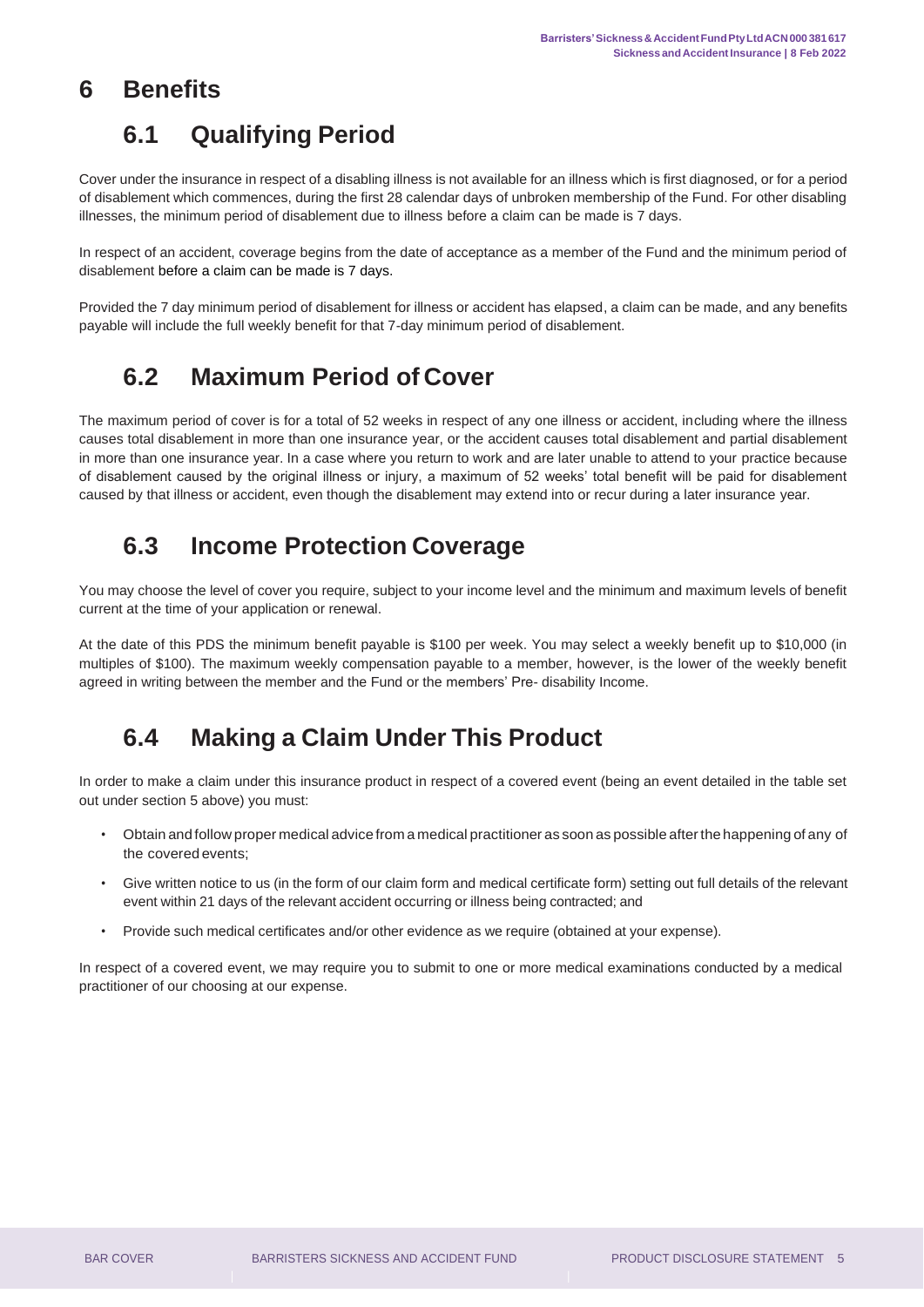## <span id="page-4-1"></span><span id="page-4-0"></span>**6 Benefits**

## **6.1 Qualifying Period**

Cover under the insurance in respect of a disabling illness is not available for an illness which is first diagnosed, or for a period of disablement which commences, during the first 28 calendar days of unbroken membership of the Fund. For other disabling illnesses, the minimum period of disablement due to illness before a claim can be made is 7 days.

In respect of an accident, coverage begins from the date of acceptance as a member of the Fund and the minimum period of disablement before a claim can be made is 7 days.

Provided the 7 day minimum period of disablement for illness or accident has elapsed, a claim can be made, and any benefits payable will include the full weekly benefit for that 7-day minimum period of disablement.

# **6.2 Maximum Period of Cover**

<span id="page-4-2"></span>The maximum period of cover is for a total of 52 weeks in respect of any one illness or accident, including where the illness causes total disablement in more than one insurance year, or the accident causes total disablement and partial disablement in more than one insurance year. In a case where you return to work and are later unable to attend to your practice because of disablement caused by the original illness or injury, a maximum of 52 weeks' total benefit will be paid for disablement caused by that illness or accident, even though the disablement may extend into or recur during a later insurance year.

## **6.3 Income Protection Coverage**

<span id="page-4-3"></span>You may choose the level of cover you require, subject to your income level and the minimum and maximum levels of benefit current at the time of your application or renewal.

At the date of this PDS the minimum benefit payable is \$100 per week. You may select a weekly benefit up to \$10,000 (in multiples of \$100). The maximum weekly compensation payable to a member, however, is the lower of the weekly benefit agreed in writing between the member and the Fund or the members' Pre- disability Income.

## **6.4 Making a Claim Under This Product**

<span id="page-4-4"></span>In order to make a claim under this insurance product in respect of a covered event (being an event detailed in the table set out under section 5 above) you must:

- Obtain and follow proper medical advice from a medical practitioner as soon as possible afterthe happening of any of the covered events;
- Give written notice to us (in the form of our claim form and medical certificate form) setting out full details of the relevant event within 21 days of the relevant accident occurring or illness being contracted; and
- Provide such medical certificates and/or other evidence as we require (obtained at your expense).

In respect of a covered event, we may require you to submit to one or more medical examinations conducted by a medical practitioner of our choosing at our expense.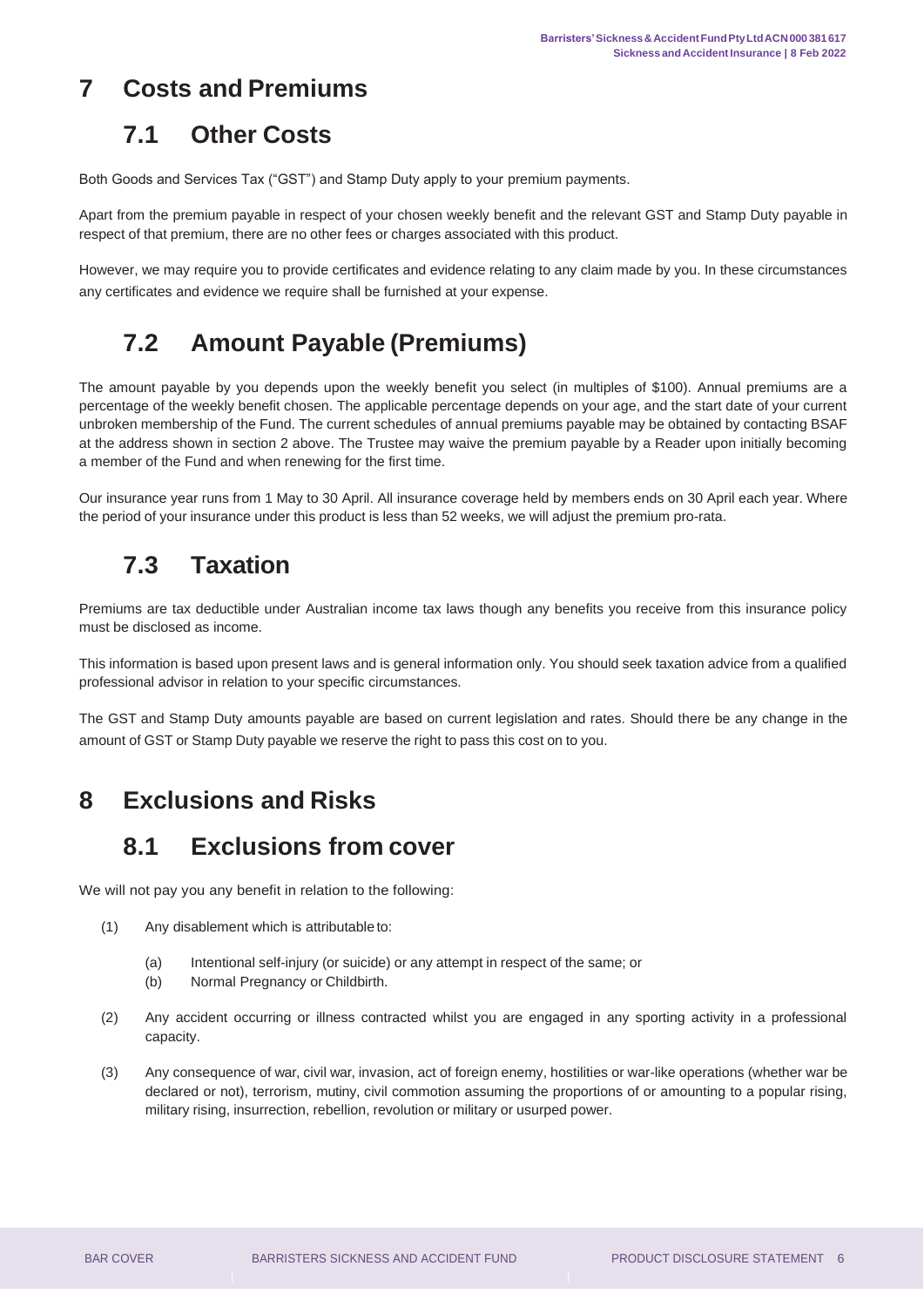## <span id="page-5-1"></span><span id="page-5-0"></span>**7 Costs and Premiums**

#### **7.1 Other Costs**

Both Goods and Services Tax ("GST") and Stamp Duty apply to your premium payments.

Apart from the premium payable in respect of your chosen weekly benefit and the relevant GST and Stamp Duty payable in respect of that premium, there are no other fees or charges associated with this product.

However, we may require you to provide certificates and evidence relating to any claim made by you. In these circumstances any certificates and evidence we require shall be furnished at your expense.

## **7.2 Amount Payable (Premiums)**

<span id="page-5-2"></span>The amount payable by you depends upon the weekly benefit you select (in multiples of \$100). Annual premiums are a percentage of the weekly benefit chosen. The applicable percentage depends on your age, and the start date of your current unbroken membership of the Fund. The current schedules of annual premiums payable may be obtained by contacting BSAF at the address shown in section 2 above. The Trustee may waive the premium payable by a Reader upon initially becoming a member of the Fund and when renewing for the first time.

Our insurance year runs from 1 May to 30 April. All insurance coverage held by members ends on 30 April each year. Where the period of your insurance under this product is less than 52 weeks, we will adjust the premium pro-rata.

#### **7.3 Taxation**

<span id="page-5-3"></span>Premiums are tax deductible under Australian income tax laws though any benefits you receive from this insurance policy must be disclosed as income.

This information is based upon present laws and is general information only. You should seek taxation advice from a qualified professional advisor in relation to your specific circumstances.

The GST and Stamp Duty amounts payable are based on current legislation and rates. Should there be any change in the amount of GST or Stamp Duty payable we reserve the right to pass this cost on to you.

#### <span id="page-5-5"></span><span id="page-5-4"></span>**8 Exclusions and Risks**

#### **8.1 Exclusions from cover**

We will not pay you any benefit in relation to the following:

- (1) Any disablement which is attributable to:
	- (a) Intentional self-injury (or suicide) or any attempt in respect of the same; or
	- (b) Normal Pregnancy or Childbirth.
- (2) Any accident occurring or illness contracted whilst you are engaged in any sporting activity in a professional capacity.
- (3) Any consequence of war, civil war, invasion, act of foreign enemy, hostilities or war-like operations (whether war be declared or not), terrorism, mutiny, civil commotion assuming the proportions of or amounting to a popular rising, military rising, insurrection, rebellion, revolution or military or usurped power.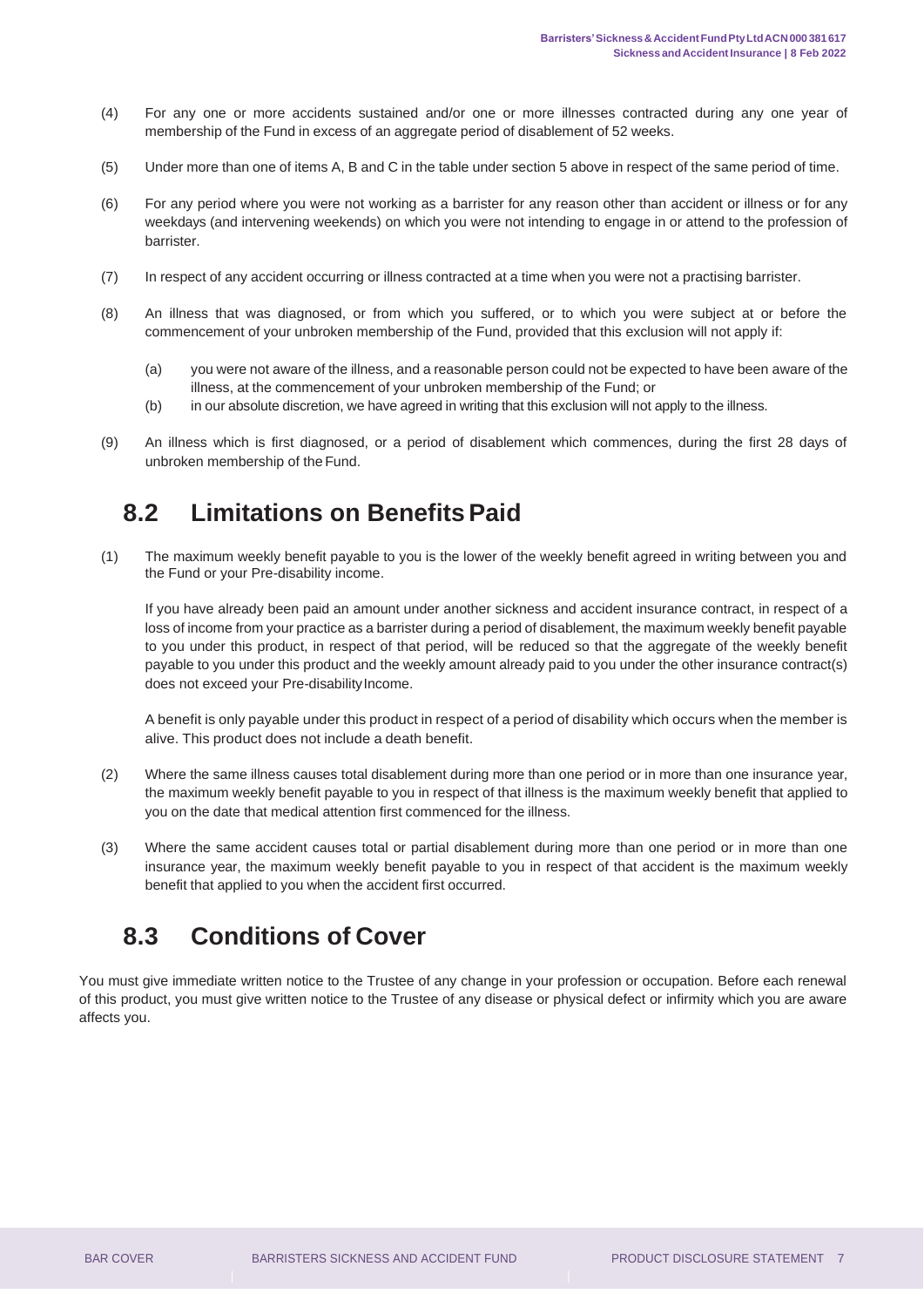- (4) For any one or more accidents sustained and/or one or more illnesses contracted during any one year of membership of the Fund in excess of an aggregate period of disablement of 52 weeks.
- (5) Under more than one of items A, B and C in the table under section 5 above in respect of the same period of time.
- (6) For any period where you were not working as a barrister for any reason other than accident or illness or for any weekdays (and intervening weekends) on which you were not intending to engage in or attend to the profession of barrister.
- (7) In respect of any accident occurring or illness contracted at a time when you were not a practising barrister.
- (8) An illness that was diagnosed, or from which you suffered, or to which you were subject at or before the commencement of your unbroken membership of the Fund, provided that this exclusion will not apply if:
	- (a) you were not aware of the illness, and a reasonable person could not be expected to have been aware of the illness, at the commencement of your unbroken membership of the Fund; or
	- (b) in our absolute discretion, we have agreed in writing that this exclusion will not apply to the illness.
- (9) An illness which is first diagnosed, or a period of disablement which commences, during the first 28 days of unbroken membership of the Fund.

#### **8.2 Limitations on BenefitsPaid**

<span id="page-6-0"></span>(1) The maximum weekly benefit payable to you is the lower of the weekly benefit agreed in writing between you and the Fund or your Pre-disability income.

If you have already been paid an amount under another sickness and accident insurance contract, in respect of a loss of income from your practice as a barrister during a period of disablement, the maximum weekly benefit payable to you under this product, in respect of that period, will be reduced so that the aggregate of the weekly benefit payable to you under this product and the weekly amount already paid to you under the other insurance contract(s) does not exceed your Pre-disability Income.

A benefit is only payable under this product in respect of a period of disability which occurs when the member is alive. This product does not include a death benefit.

- (2) Where the same illness causes total disablement during more than one period or in more than one insurance year, the maximum weekly benefit payable to you in respect of that illness is the maximum weekly benefit that applied to you on the date that medical attention first commenced for the illness.
- (3) Where the same accident causes total or partial disablement during more than one period or in more than one insurance year, the maximum weekly benefit payable to you in respect of that accident is the maximum weekly benefit that applied to you when the accident first occurred.

#### **8.3 Conditions of Cover**

<span id="page-6-1"></span>You must give immediate written notice to the Trustee of any change in your profession or occupation. Before each renewal of this product, you must give written notice to the Trustee of any disease or physical defect or infirmity which you are aware affects you.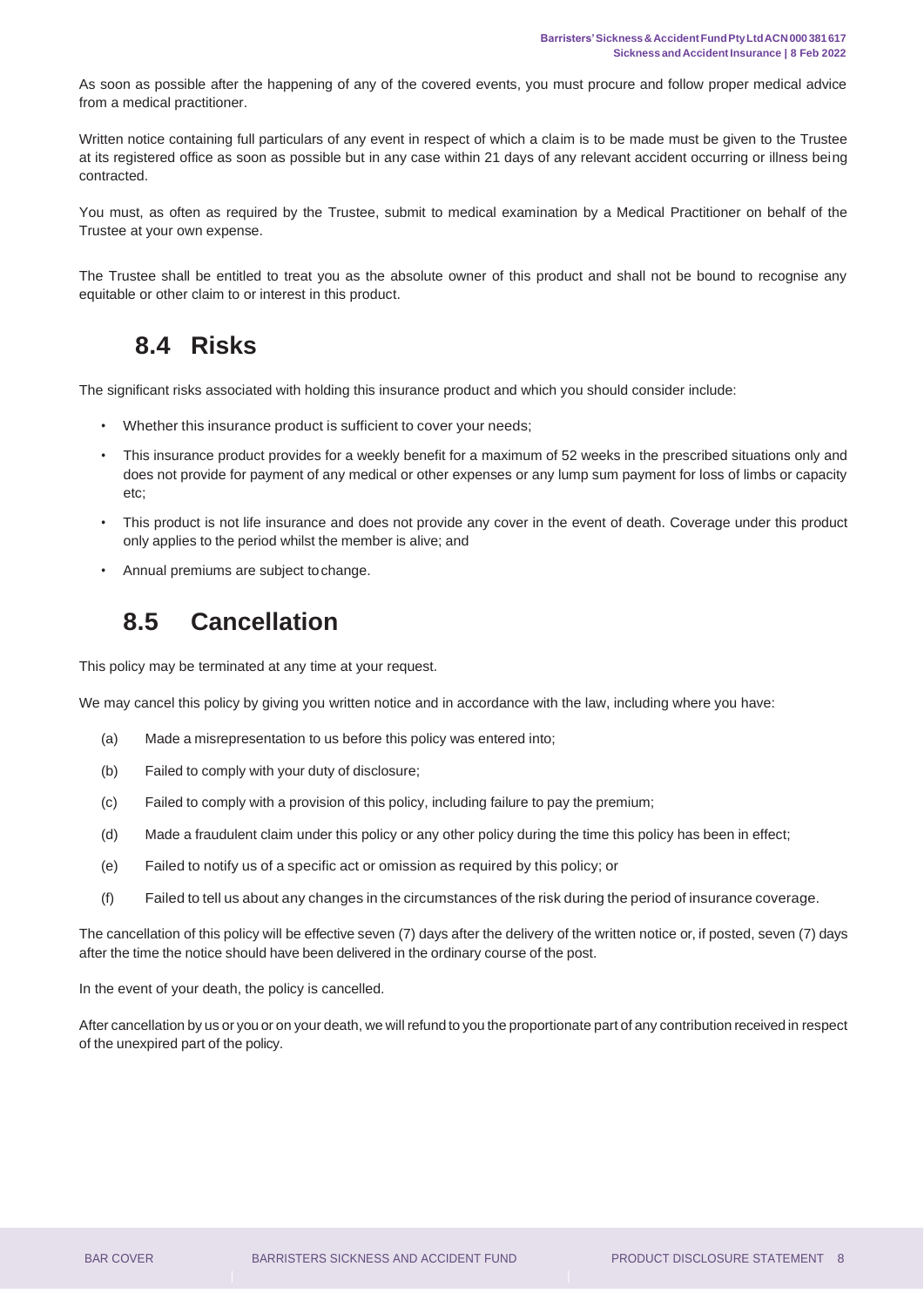As soon as possible after the happening of any of the covered events, you must procure and follow proper medical advice from a medical practitioner.

Written notice containing full particulars of any event in respect of which a claim is to be made must be given to the Trustee at its registered office as soon as possible but in any case within 21 days of any relevant accident occurring or illness being contracted.

You must, as often as required by the Trustee, submit to medical examination by a Medical Practitioner on behalf of the Trustee at your own expense.

The Trustee shall be entitled to treat you as the absolute owner of this product and shall not be bound to recognise any equitable or other claim to or interest in this product.

#### **8.4 Risks**

<span id="page-7-0"></span>The significant risks associated with holding this insurance product and which you should consider include:

- Whether this insurance product is sufficient to cover your needs;
- This insurance product provides for a weekly benefit for a maximum of 52 weeks in the prescribed situations only and does not provide for payment of any medical or other expenses or any lump sum payment for loss of limbs or capacity etc;
- This product is not life insurance and does not provide any cover in the event of death. Coverage under this product only applies to the period whilst the member is alive; and
- Annual premiums are subject tochange.

#### **8.5 Cancellation**

<span id="page-7-1"></span>This policy may be terminated at any time at your request.

We may cancel this policy by giving you written notice and in accordance with the law, including where you have:

- (a) Made a misrepresentation to us before this policy was entered into;
- (b) Failed to comply with your duty of disclosure;
- (c) Failed to comply with a provision of this policy, including failure to pay the premium;
- (d) Made a fraudulent claim under this policy or any other policy during the time this policy has been in effect;
- (e) Failed to notify us of a specific act or omission as required by this policy; or
- (f) Failed to tell us about any changes in the circumstances of the risk during the period of insurance coverage.

The cancellation of this policy will be effective seven (7) days after the delivery of the written notice or, if posted, seven (7) days after the time the notice should have been delivered in the ordinary course of the post.

In the event of your death, the policy is cancelled.

After cancellation by us or you or on your death, we will refund to you the proportionate part of any contribution received in respect of the unexpired part of the policy.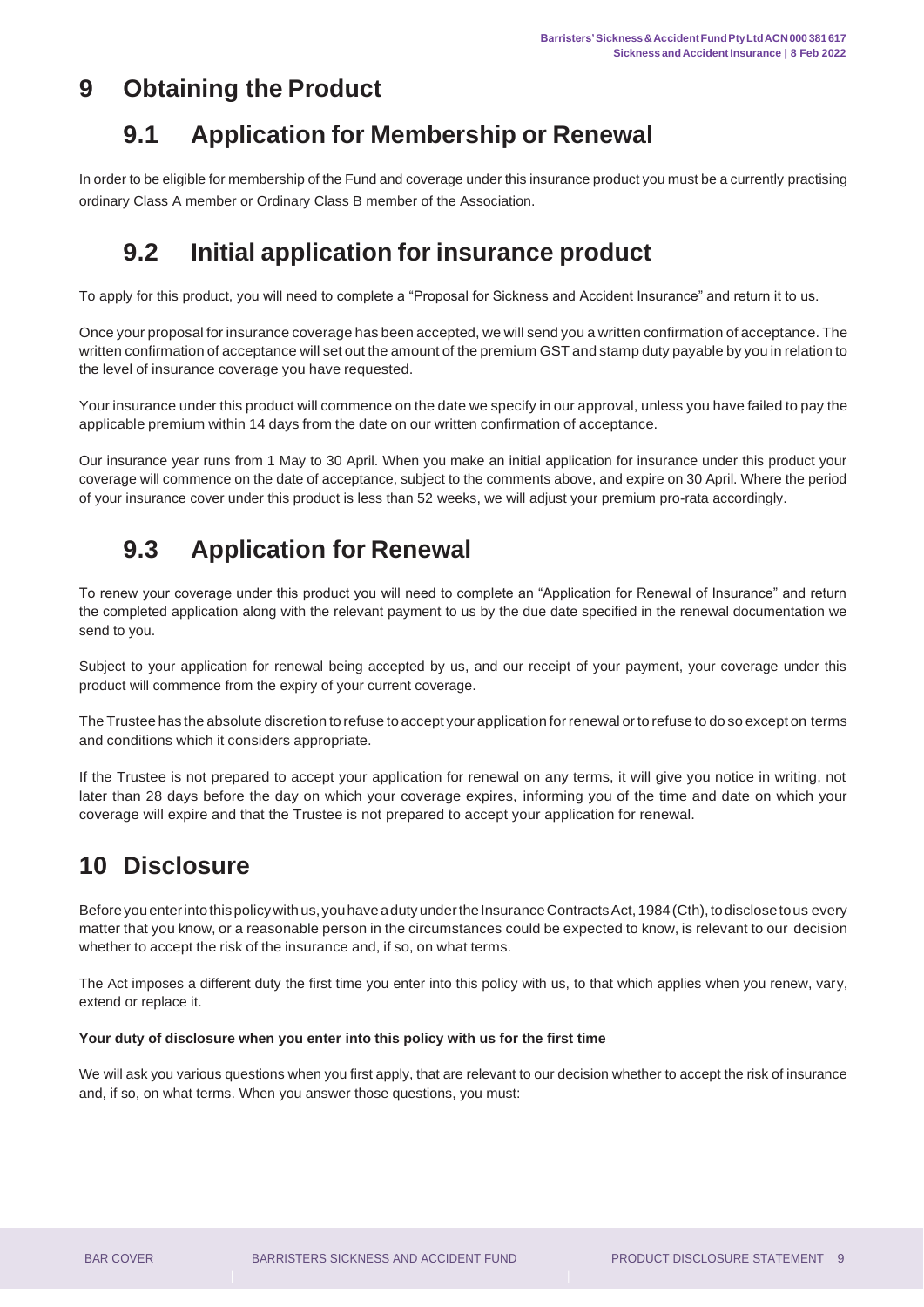#### <span id="page-8-1"></span><span id="page-8-0"></span>**9 Obtaining the Product**

## **9.1 Application for Membership or Renewal**

In order to be eligible for membership of the Fund and coverage under this insurance product you must be a currently practising ordinary Class A member or Ordinary Class B member of the Association.

## **9.2 Initial application for insurance product**

<span id="page-8-2"></span>To apply for this product, you will need to complete a "Proposal for Sickness and Accident Insurance" and return it to us.

Once your proposal for insurance coverage has been accepted, we will send you a written confirmation of acceptance. The written confirmation of acceptance will set out the amount of the premium GST and stamp duty payable by you in relation to the level of insurance coverage you have requested.

Your insurance under this product will commence on the date we specify in our approval, unless you have failed to pay the applicable premium within 14 days from the date on our written confirmation of acceptance.

Our insurance year runs from 1 May to 30 April. When you make an initial application for insurance under this product your coverage will commence on the date of acceptance, subject to the comments above, and expire on 30 April. Where the period of your insurance cover under this product is less than 52 weeks, we will adjust your premium pro-rata accordingly.

## **9.3 Application for Renewal**

<span id="page-8-3"></span>To renew your coverage under this product you will need to complete an "Application for Renewal of Insurance" and return the completed application along with the relevant payment to us by the due date specified in the renewal documentation we send to you.

Subject to your application for renewal being accepted by us, and our receipt of your payment, your coverage under this product will commence from the expiry of your current coverage.

The Trustee has the absolute discretion to refuse to accept your application forrenewal orto refuse to do so except on terms and conditions which it considers appropriate.

If the Trustee is not prepared to accept your application for renewal on any terms, it will give you notice in writing, not later than 28 days before the day on which your coverage expires, informing you of the time and date on which your coverage will expire and that the Trustee is not prepared to accept your application for renewal.

# <span id="page-8-4"></span>**10 Disclosure**

Before you enter into this policy with us, you have a duty under the Insurance Contracts Act, 1984 (Cth), to disclose to us every matter that you know, or a reasonable person in the circumstances could be expected to know, is relevant to our decision whether to accept the risk of the insurance and, if so, on what terms.

The Act imposes a different duty the first time you enter into this policy with us, to that which applies when you renew, vary, extend or replace it.

#### **Your duty of disclosure when you enter into this policy with us for the first time**

We will ask you various questions when you first apply, that are relevant to our decision whether to accept the risk of insurance and, if so, on what terms. When you answer those questions, you must: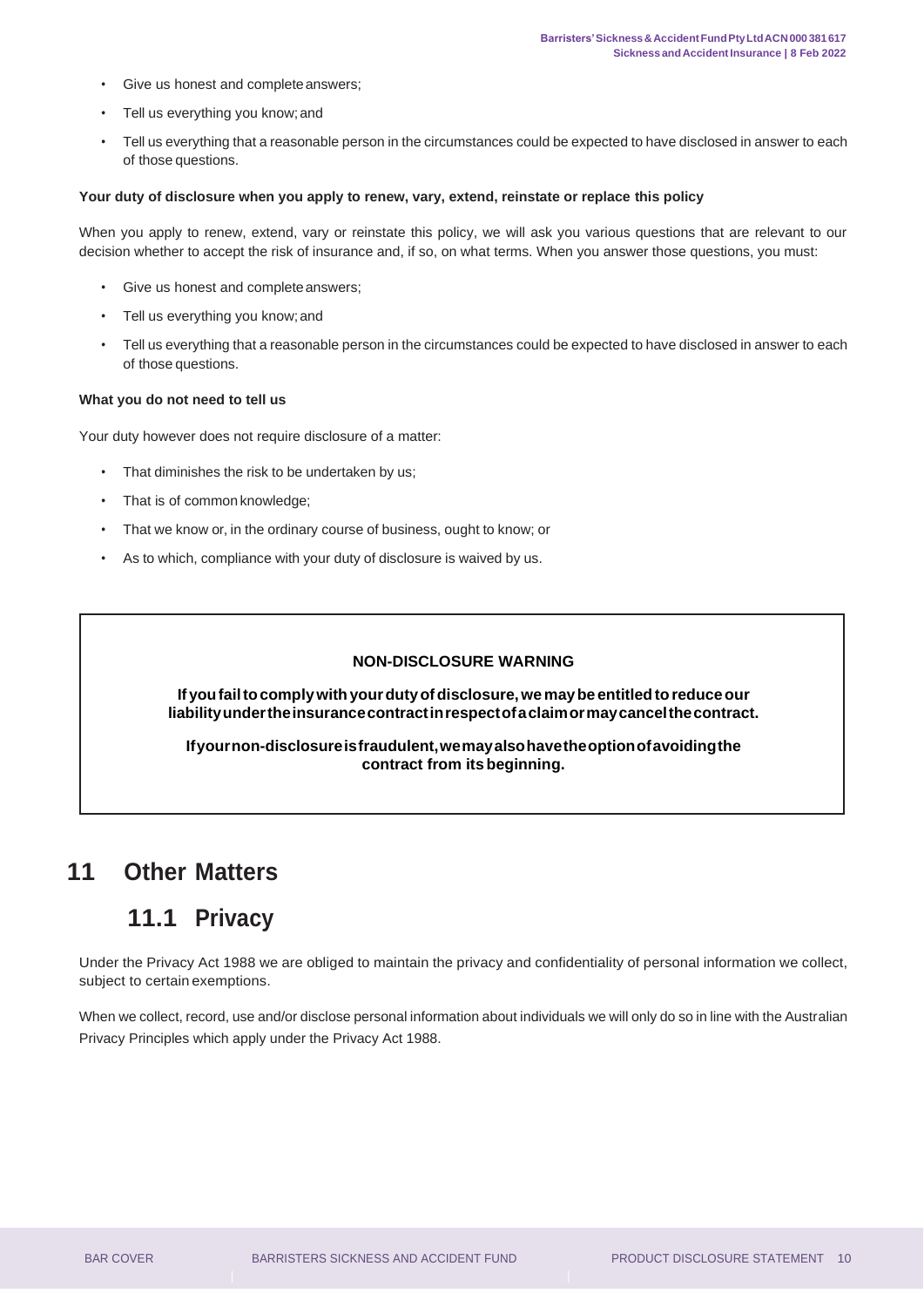- Give us honest and completeanswers;
- Tell us everything you know;and
- Tell us everything that a reasonable person in the circumstances could be expected to have disclosed in answer to each of those questions.

#### **Your duty of disclosure when you apply to renew, vary, extend, reinstate or replace this policy**

When you apply to renew, extend, vary or reinstate this policy, we will ask you various questions that are relevant to our decision whether to accept the risk of insurance and, if so, on what terms. When you answer those questions, you must:

- Give us honest and completeanswers;
- Tell us everything you know;and
- Tell us everything that a reasonable person in the circumstances could be expected to have disclosed in answer to each of those questions.

#### **What you do not need to tell us**

Your duty however does not require disclosure of a matter:

- That diminishes the risk to be undertaken by us;
- That is of common knowledge;
- That we know or, in the ordinary course of business, ought to know; or
- As to which, compliance with your duty of disclosure is waived by us.

#### **NON-DISCLOSURE WARNING**

**Ifyoufailtocomplywithyourdutyofdisclosure,wemaybe entitledtoreduceour liabilityundertheinsurancecontractinrespectofaclaimormaycancelthecontract.**

**Ifyournon-disclosureisfraudulent,wemayalsohavetheoptionofavoidingthe contract from itsbeginning.**

#### <span id="page-9-1"></span><span id="page-9-0"></span>**11 Other Matters**

#### **11.1 Privacy**

Under the Privacy Act 1988 we are obliged to maintain the privacy and confidentiality of personal information we collect, subject to certain exemptions.

When we collect, record, use and/or disclose personal information about individuals we will only do so in line with the Australian Privacy Principles which apply under the Privacy Act 1988.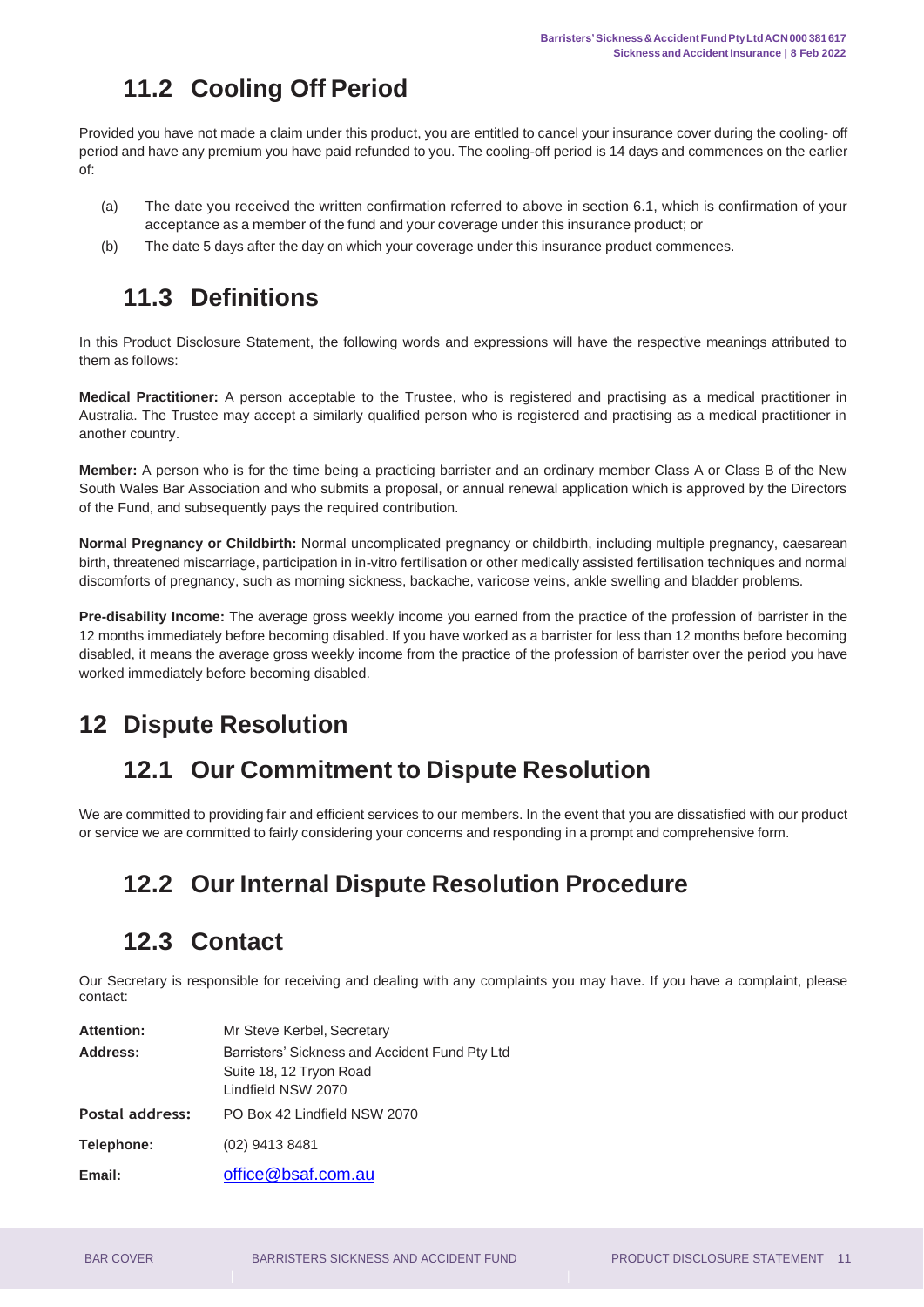## **11.2 Cooling Off Period**

<span id="page-10-0"></span>Provided you have not made a claim under this product, you are entitled to cancel your insurance cover during the cooling- off period and have any premium you have paid refunded to you. The cooling-off period is 14 days and commences on the earlier of:

- (a) The date you received the written confirmation referred to above in section 6.1, which is confirmation of your acceptance as a member of the fund and your coverage under this insurance product; or
- (b) The date 5 days after the day on which your coverage under this insurance product commences.

## **11.3 Definitions**

<span id="page-10-1"></span>In this Product Disclosure Statement, the following words and expressions will have the respective meanings attributed to them as follows:

**Medical Practitioner:** A person acceptable to the Trustee, who is registered and practising as a medical practitioner in Australia. The Trustee may accept a similarly qualified person who is registered and practising as a medical practitioner in another country.

**Member:** A person who is for the time being a practicing barrister and an ordinary member Class A or Class B of the New South Wales Bar Association and who submits a proposal, or annual renewal application which is approved by the Directors of the Fund, and subsequently pays the required contribution.

**Normal Pregnancy or Childbirth:** Normal uncomplicated pregnancy or childbirth, including multiple pregnancy, caesarean birth, threatened miscarriage, participation in in-vitro fertilisation or other medically assisted fertilisation techniques and normal discomforts of pregnancy, such as morning sickness, backache, varicose veins, ankle swelling and bladder problems.

**Pre-disability Income:** The average gross weekly income you earned from the practice of the profession of barrister in the 12 months immediately before becoming disabled. If you have worked as a barrister for less than 12 months before becoming disabled, it means the average gross weekly income from the practice of the profession of barrister over the period you have worked immediately before becoming disabled.

## <span id="page-10-3"></span><span id="page-10-2"></span>**12 Dispute Resolution**

## **12.1 Our Commitment to Dispute Resolution**

<span id="page-10-4"></span>We are committed to providing fair and efficient services to our members. In the event that you are dissatisfied with our product or service we are committed to fairly considering your concerns and responding in a prompt and comprehensive form.

# **12.2 Our Internal Dispute Resolution Procedure**

#### **12.3 Contact**

<span id="page-10-5"></span>Our Secretary is responsible for receiving and dealing with any complaints you may have. If you have a complaint, please contact:

| <b>Attention:</b>      | Mr Steve Kerbel, Secretary                                                                      |
|------------------------|-------------------------------------------------------------------------------------------------|
| Address:               | Barristers' Sickness and Accident Fund Pty Ltd<br>Suite 18, 12 Tryon Road<br>Lindfield NSW 2070 |
| <b>Postal address:</b> | PO Box 42 Lindfield NSW 2070                                                                    |
| Telephone:             | (02) 9413 8481                                                                                  |
| Email:                 | office@bsaf.com.au                                                                              |